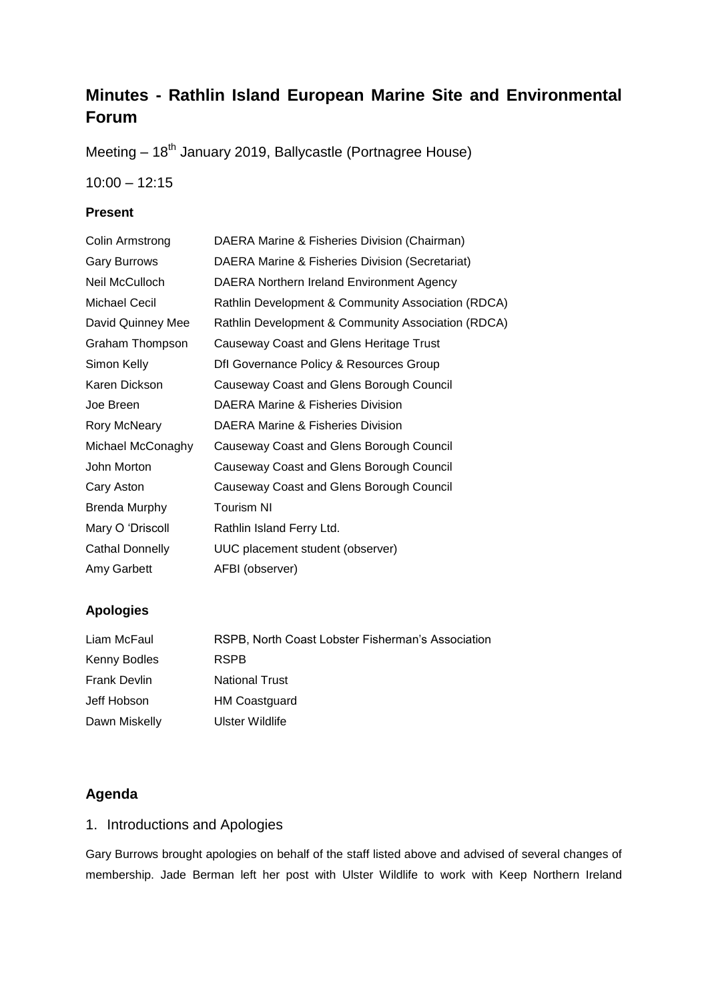# **Minutes - Rathlin Island European Marine Site and Environmental Forum**

Meeting – 18<sup>th</sup> January 2019, Ballycastle (Portnagree House)

10:00 – 12:15

### **Present**

| Colin Armstrong        | DAERA Marine & Fisheries Division (Chairman)       |
|------------------------|----------------------------------------------------|
| <b>Gary Burrows</b>    | DAERA Marine & Fisheries Division (Secretariat)    |
| Neil McCulloch         | DAERA Northern Ireland Environment Agency          |
| <b>Michael Cecil</b>   | Rathlin Development & Community Association (RDCA) |
| David Quinney Mee      | Rathlin Development & Community Association (RDCA) |
| Graham Thompson        | <b>Causeway Coast and Glens Heritage Trust</b>     |
| Simon Kelly            | Dfl Governance Policy & Resources Group            |
| Karen Dickson          | Causeway Coast and Glens Borough Council           |
| Joe Breen              | DAERA Marine & Fisheries Division                  |
| <b>Rory McNeary</b>    | DAERA Marine & Fisheries Division                  |
| Michael McConaghy      | Causeway Coast and Glens Borough Council           |
| John Morton            | Causeway Coast and Glens Borough Council           |
| Cary Aston             | Causeway Coast and Glens Borough Council           |
| <b>Brenda Murphy</b>   | <b>Tourism NI</b>                                  |
| Mary O 'Driscoll       | Rathlin Island Ferry Ltd.                          |
| <b>Cathal Donnelly</b> | UUC placement student (observer)                   |
| Amy Garbett            | AFBI (observer)                                    |
|                        |                                                    |

### **Apologies**

| Liam McFaul         | RSPB, North Coast Lobster Fisherman's Association |
|---------------------|---------------------------------------------------|
| Kenny Bodles        | <b>RSPB</b>                                       |
| <b>Frank Devlin</b> | <b>National Trust</b>                             |
| Jeff Hobson         | <b>HM Coastguard</b>                              |
| Dawn Miskelly       | Ulster Wildlife                                   |

# **Agenda**

# 1. Introductions and Apologies

Gary Burrows brought apologies on behalf of the staff listed above and advised of several changes of membership. Jade Berman left her post with Ulster Wildlife to work with Keep Northern Ireland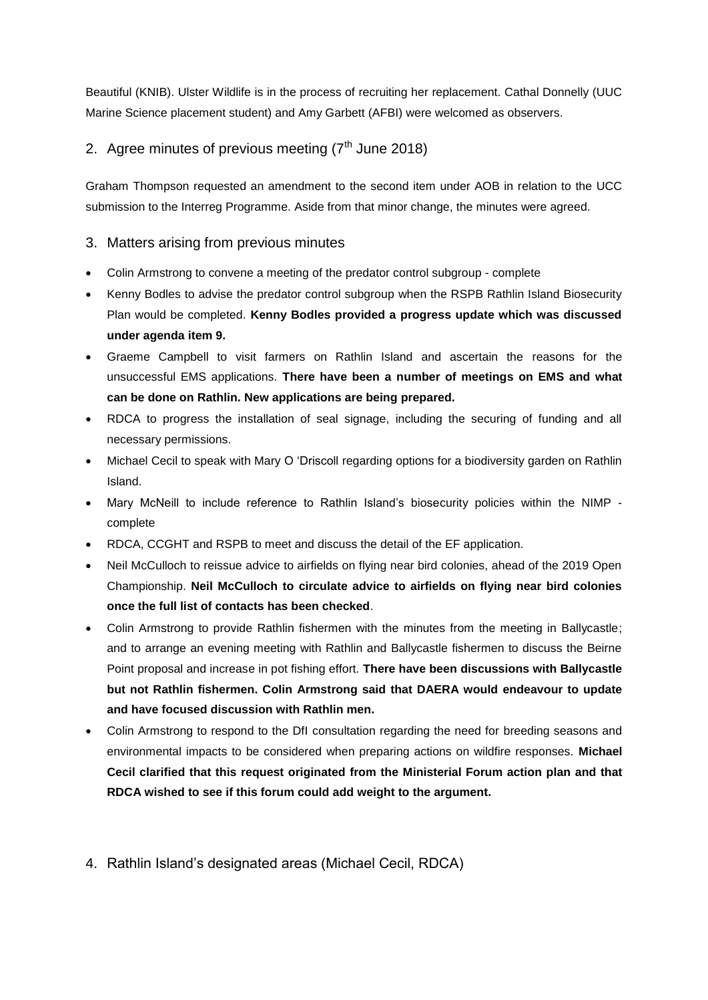Beautiful (KNIB). Ulster Wildlife is in the process of recruiting her replacement. Cathal Donnelly (UUC Marine Science placement student) and Amy Garbett (AFBI) were welcomed as observers.

# 2. Agree minutes of previous meeting  $(7<sup>th</sup>$  June 2018)

Graham Thompson requested an amendment to the second item under AOB in relation to the UCC submission to the Interreg Programme. Aside from that minor change, the minutes were agreed.

## 3. Matters arising from previous minutes

- Colin Armstrong to convene a meeting of the predator control subgroup complete
- Kenny Bodles to advise the predator control subgroup when the RSPB Rathlin Island Biosecurity Plan would be completed. **Kenny Bodles provided a progress update which was discussed under agenda item 9.**
- Graeme Campbell to visit farmers on Rathlin Island and ascertain the reasons for the unsuccessful EMS applications. **There have been a number of meetings on EMS and what can be done on Rathlin. New applications are being prepared.**
- RDCA to progress the installation of seal signage, including the securing of funding and all necessary permissions.
- Michael Cecil to speak with Mary O 'Driscoll regarding options for a biodiversity garden on Rathlin Island.
- Mary McNeill to include reference to Rathlin Island's biosecurity policies within the NIMP complete
- RDCA, CCGHT and RSPB to meet and discuss the detail of the EF application.
- Neil McCulloch to reissue advice to airfields on flying near bird colonies, ahead of the 2019 Open Championship. **Neil McCulloch to circulate advice to airfields on flying near bird colonies once the full list of contacts has been checked**.
- Colin Armstrong to provide Rathlin fishermen with the minutes from the meeting in Ballycastle; and to arrange an evening meeting with Rathlin and Ballycastle fishermen to discuss the Beirne Point proposal and increase in pot fishing effort. **There have been discussions with Ballycastle but not Rathlin fishermen. Colin Armstrong said that DAERA would endeavour to update and have focused discussion with Rathlin men.**
- Colin Armstrong to respond to the DfI consultation regarding the need for breeding seasons and environmental impacts to be considered when preparing actions on wildfire responses. **Michael Cecil clarified that this request originated from the Ministerial Forum action plan and that RDCA wished to see if this forum could add weight to the argument.**
- 4. Rathlin Island's designated areas (Michael Cecil, RDCA)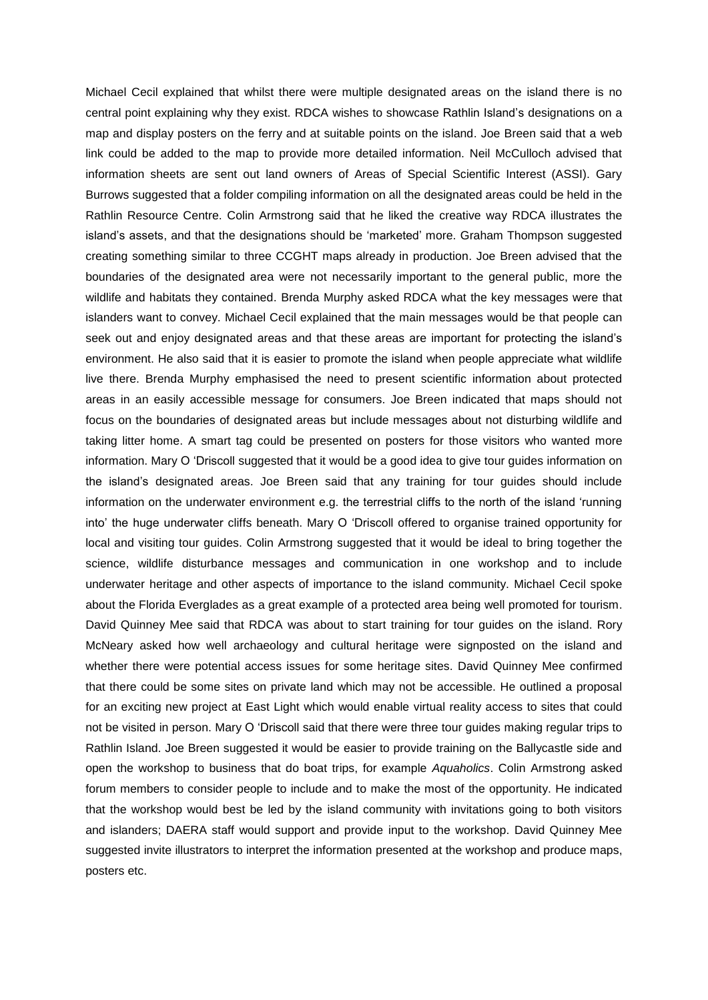Michael Cecil explained that whilst there were multiple designated areas on the island there is no central point explaining why they exist. RDCA wishes to showcase Rathlin Island's designations on a map and display posters on the ferry and at suitable points on the island. Joe Breen said that a web link could be added to the map to provide more detailed information. Neil McCulloch advised that information sheets are sent out land owners of Areas of Special Scientific Interest (ASSI). Gary Burrows suggested that a folder compiling information on all the designated areas could be held in the Rathlin Resource Centre. Colin Armstrong said that he liked the creative way RDCA illustrates the island's assets, and that the designations should be 'marketed' more. Graham Thompson suggested creating something similar to three CCGHT maps already in production. Joe Breen advised that the boundaries of the designated area were not necessarily important to the general public, more the wildlife and habitats they contained. Brenda Murphy asked RDCA what the key messages were that islanders want to convey. Michael Cecil explained that the main messages would be that people can seek out and enjoy designated areas and that these areas are important for protecting the island's environment. He also said that it is easier to promote the island when people appreciate what wildlife live there. Brenda Murphy emphasised the need to present scientific information about protected areas in an easily accessible message for consumers. Joe Breen indicated that maps should not focus on the boundaries of designated areas but include messages about not disturbing wildlife and taking litter home. A smart tag could be presented on posters for those visitors who wanted more information. Mary O 'Driscoll suggested that it would be a good idea to give tour guides information on the island's designated areas. Joe Breen said that any training for tour guides should include information on the underwater environment e.g. the terrestrial cliffs to the north of the island 'running into' the huge underwater cliffs beneath. Mary O 'Driscoll offered to organise trained opportunity for local and visiting tour guides. Colin Armstrong suggested that it would be ideal to bring together the science, wildlife disturbance messages and communication in one workshop and to include underwater heritage and other aspects of importance to the island community. Michael Cecil spoke about the Florida Everglades as a great example of a protected area being well promoted for tourism. David Quinney Mee said that RDCA was about to start training for tour guides on the island. Rory McNeary asked how well archaeology and cultural heritage were signposted on the island and whether there were potential access issues for some heritage sites. David Quinney Mee confirmed that there could be some sites on private land which may not be accessible. He outlined a proposal for an exciting new project at East Light which would enable virtual reality access to sites that could not be visited in person. Mary O 'Driscoll said that there were three tour guides making regular trips to Rathlin Island. Joe Breen suggested it would be easier to provide training on the Ballycastle side and open the workshop to business that do boat trips, for example *Aquaholics*. Colin Armstrong asked forum members to consider people to include and to make the most of the opportunity. He indicated that the workshop would best be led by the island community with invitations going to both visitors and islanders; DAERA staff would support and provide input to the workshop. David Quinney Mee suggested invite illustrators to interpret the information presented at the workshop and produce maps, posters etc.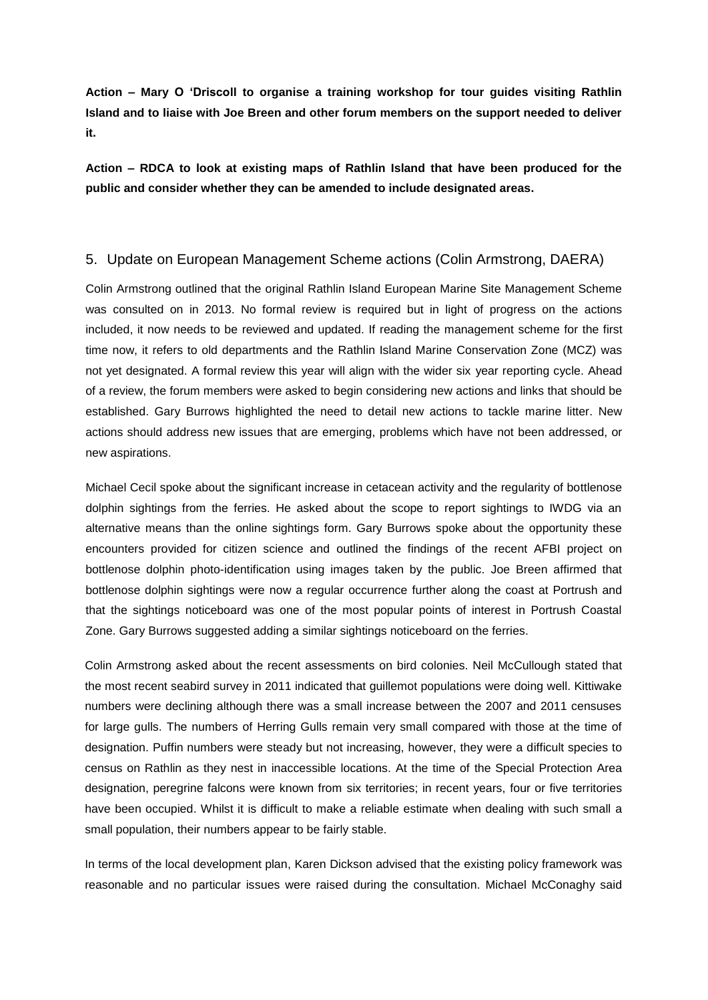**Action – Mary O 'Driscoll to organise a training workshop for tour guides visiting Rathlin Island and to liaise with Joe Breen and other forum members on the support needed to deliver it.**

**Action – RDCA to look at existing maps of Rathlin Island that have been produced for the public and consider whether they can be amended to include designated areas.**

#### 5. Update on European Management Scheme actions (Colin Armstrong, DAERA)

Colin Armstrong outlined that the original Rathlin Island European Marine Site Management Scheme was consulted on in 2013. No formal review is required but in light of progress on the actions included, it now needs to be reviewed and updated. If reading the management scheme for the first time now, it refers to old departments and the Rathlin Island Marine Conservation Zone (MCZ) was not yet designated. A formal review this year will align with the wider six year reporting cycle. Ahead of a review, the forum members were asked to begin considering new actions and links that should be established. Gary Burrows highlighted the need to detail new actions to tackle marine litter. New actions should address new issues that are emerging, problems which have not been addressed, or new aspirations.

Michael Cecil spoke about the significant increase in cetacean activity and the regularity of bottlenose dolphin sightings from the ferries. He asked about the scope to report sightings to IWDG via an alternative means than the online sightings form. Gary Burrows spoke about the opportunity these encounters provided for citizen science and outlined the findings of the recent AFBI project on bottlenose dolphin photo-identification using images taken by the public. Joe Breen affirmed that bottlenose dolphin sightings were now a regular occurrence further along the coast at Portrush and that the sightings noticeboard was one of the most popular points of interest in Portrush Coastal Zone. Gary Burrows suggested adding a similar sightings noticeboard on the ferries.

Colin Armstrong asked about the recent assessments on bird colonies. Neil McCullough stated that the most recent seabird survey in 2011 indicated that guillemot populations were doing well. Kittiwake numbers were declining although there was a small increase between the 2007 and 2011 censuses for large gulls. The numbers of Herring Gulls remain very small compared with those at the time of designation. Puffin numbers were steady but not increasing, however, they were a difficult species to census on Rathlin as they nest in inaccessible locations. At the time of the Special Protection Area designation, peregrine falcons were known from six territories; in recent years, four or five territories have been occupied. Whilst it is difficult to make a reliable estimate when dealing with such small a small population, their numbers appear to be fairly stable.

In terms of the local development plan, Karen Dickson advised that the existing policy framework was reasonable and no particular issues were raised during the consultation. Michael McConaghy said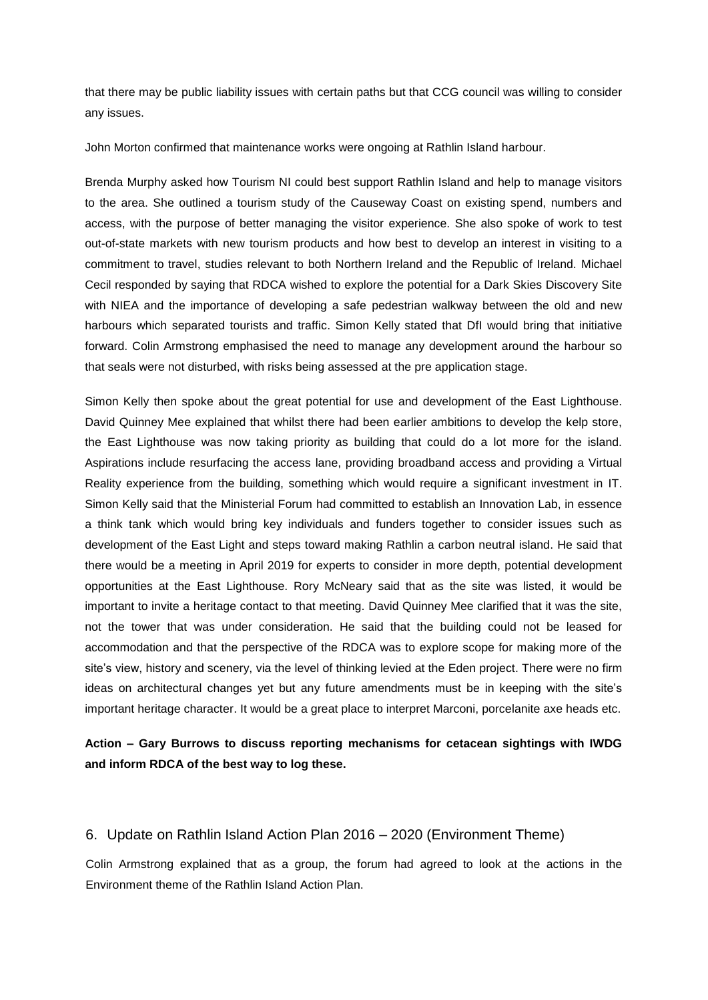that there may be public liability issues with certain paths but that CCG council was willing to consider any issues.

John Morton confirmed that maintenance works were ongoing at Rathlin Island harbour.

Brenda Murphy asked how Tourism NI could best support Rathlin Island and help to manage visitors to the area. She outlined a tourism study of the Causeway Coast on existing spend, numbers and access, with the purpose of better managing the visitor experience. She also spoke of work to test out-of-state markets with new tourism products and how best to develop an interest in visiting to a commitment to travel, studies relevant to both Northern Ireland and the Republic of Ireland. Michael Cecil responded by saying that RDCA wished to explore the potential for a Dark Skies Discovery Site with NIEA and the importance of developing a safe pedestrian walkway between the old and new harbours which separated tourists and traffic. Simon Kelly stated that DfI would bring that initiative forward. Colin Armstrong emphasised the need to manage any development around the harbour so that seals were not disturbed, with risks being assessed at the pre application stage.

Simon Kelly then spoke about the great potential for use and development of the East Lighthouse. David Quinney Mee explained that whilst there had been earlier ambitions to develop the kelp store, the East Lighthouse was now taking priority as building that could do a lot more for the island. Aspirations include resurfacing the access lane, providing broadband access and providing a Virtual Reality experience from the building, something which would require a significant investment in IT. Simon Kelly said that the Ministerial Forum had committed to establish an Innovation Lab, in essence a think tank which would bring key individuals and funders together to consider issues such as development of the East Light and steps toward making Rathlin a carbon neutral island. He said that there would be a meeting in April 2019 for experts to consider in more depth, potential development opportunities at the East Lighthouse. Rory McNeary said that as the site was listed, it would be important to invite a heritage contact to that meeting. David Quinney Mee clarified that it was the site, not the tower that was under consideration. He said that the building could not be leased for accommodation and that the perspective of the RDCA was to explore scope for making more of the site's view, history and scenery, via the level of thinking levied at the Eden project. There were no firm ideas on architectural changes yet but any future amendments must be in keeping with the site's important heritage character. It would be a great place to interpret Marconi, porcelanite axe heads etc.

**Action – Gary Burrows to discuss reporting mechanisms for cetacean sightings with IWDG and inform RDCA of the best way to log these.**

#### 6. Update on Rathlin Island Action Plan 2016 – 2020 (Environment Theme)

Colin Armstrong explained that as a group, the forum had agreed to look at the actions in the Environment theme of the Rathlin Island Action Plan.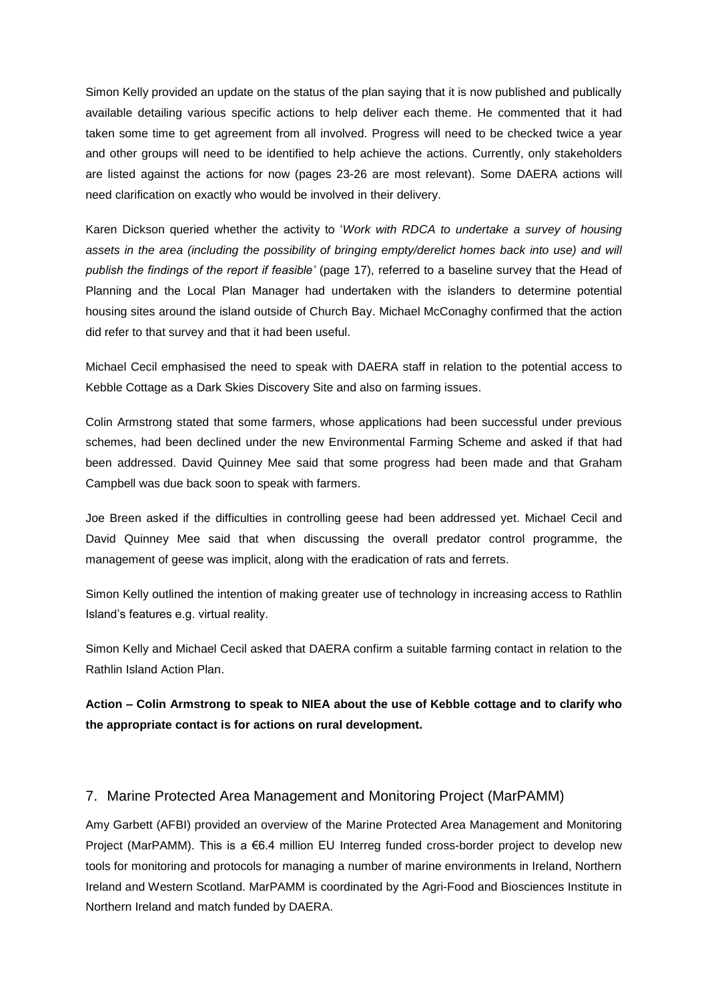Simon Kelly provided an update on the status of the plan saying that it is now published and publically available detailing various specific actions to help deliver each theme. He commented that it had taken some time to get agreement from all involved. Progress will need to be checked twice a year and other groups will need to be identified to help achieve the actions. Currently, only stakeholders are listed against the actions for now (pages 23-26 are most relevant). Some DAERA actions will need clarification on exactly who would be involved in their delivery.

Karen Dickson queried whether the activity to '*Work with RDCA to undertake a survey of housing*  assets in the area (including the possibility of bringing empty/derelict homes back into use) and will *publish the findings of the report if feasible'* (page 17), referred to a baseline survey that the Head of Planning and the Local Plan Manager had undertaken with the islanders to determine potential housing sites around the island outside of Church Bay. Michael McConaghy confirmed that the action did refer to that survey and that it had been useful.

Michael Cecil emphasised the need to speak with DAERA staff in relation to the potential access to Kebble Cottage as a Dark Skies Discovery Site and also on farming issues.

Colin Armstrong stated that some farmers, whose applications had been successful under previous schemes, had been declined under the new Environmental Farming Scheme and asked if that had been addressed. David Quinney Mee said that some progress had been made and that Graham Campbell was due back soon to speak with farmers.

Joe Breen asked if the difficulties in controlling geese had been addressed yet. Michael Cecil and David Quinney Mee said that when discussing the overall predator control programme, the management of geese was implicit, along with the eradication of rats and ferrets.

Simon Kelly outlined the intention of making greater use of technology in increasing access to Rathlin Island's features e.g. virtual reality.

Simon Kelly and Michael Cecil asked that DAERA confirm a suitable farming contact in relation to the Rathlin Island Action Plan.

**Action – Colin Armstrong to speak to NIEA about the use of Kebble cottage and to clarify who the appropriate contact is for actions on rural development.**

### 7. Marine Protected Area Management and Monitoring Project (MarPAMM)

Amy Garbett (AFBI) provided an overview of the Marine Protected Area Management and Monitoring Project (MarPAMM). This is a €6.4 million EU Interreg funded cross-border project to develop new tools for monitoring and protocols for managing a number of marine environments in Ireland, Northern Ireland and Western Scotland. MarPAMM is coordinated by the Agri-Food and Biosciences Institute in Northern Ireland and match funded by DAERA.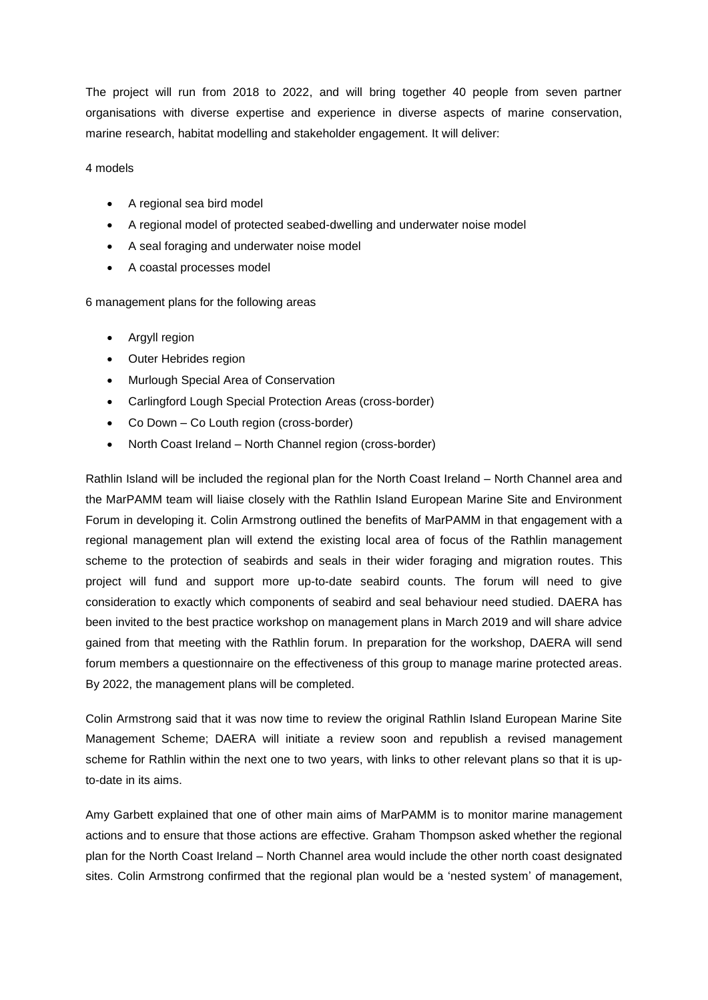The project will run from 2018 to 2022, and will bring together 40 people from seven partner organisations with diverse expertise and experience in diverse aspects of marine conservation, marine research, habitat modelling and stakeholder engagement. It will deliver:

#### 4 models

- A regional sea bird model
- A regional model of protected seabed-dwelling and underwater noise model
- A seal foraging and underwater noise model
- A coastal processes model

6 management plans for the following areas

- Argyll region
- Outer Hebrides region
- Murlough Special Area of Conservation
- Carlingford Lough Special Protection Areas (cross-border)
- Co Down Co Louth region (cross-border)
- North Coast Ireland North Channel region (cross-border)

Rathlin Island will be included the regional plan for the North Coast Ireland – North Channel area and the MarPAMM team will liaise closely with the Rathlin Island European Marine Site and Environment Forum in developing it. Colin Armstrong outlined the benefits of MarPAMM in that engagement with a regional management plan will extend the existing local area of focus of the Rathlin management scheme to the protection of seabirds and seals in their wider foraging and migration routes. This project will fund and support more up-to-date seabird counts. The forum will need to give consideration to exactly which components of seabird and seal behaviour need studied. DAERA has been invited to the best practice workshop on management plans in March 2019 and will share advice gained from that meeting with the Rathlin forum. In preparation for the workshop, DAERA will send forum members a questionnaire on the effectiveness of this group to manage marine protected areas. By 2022, the management plans will be completed.

Colin Armstrong said that it was now time to review the original Rathlin Island European Marine Site Management Scheme; DAERA will initiate a review soon and republish a revised management scheme for Rathlin within the next one to two years, with links to other relevant plans so that it is upto-date in its aims.

Amy Garbett explained that one of other main aims of MarPAMM is to monitor marine management actions and to ensure that those actions are effective. Graham Thompson asked whether the regional plan for the North Coast Ireland – North Channel area would include the other north coast designated sites. Colin Armstrong confirmed that the regional plan would be a 'nested system' of management,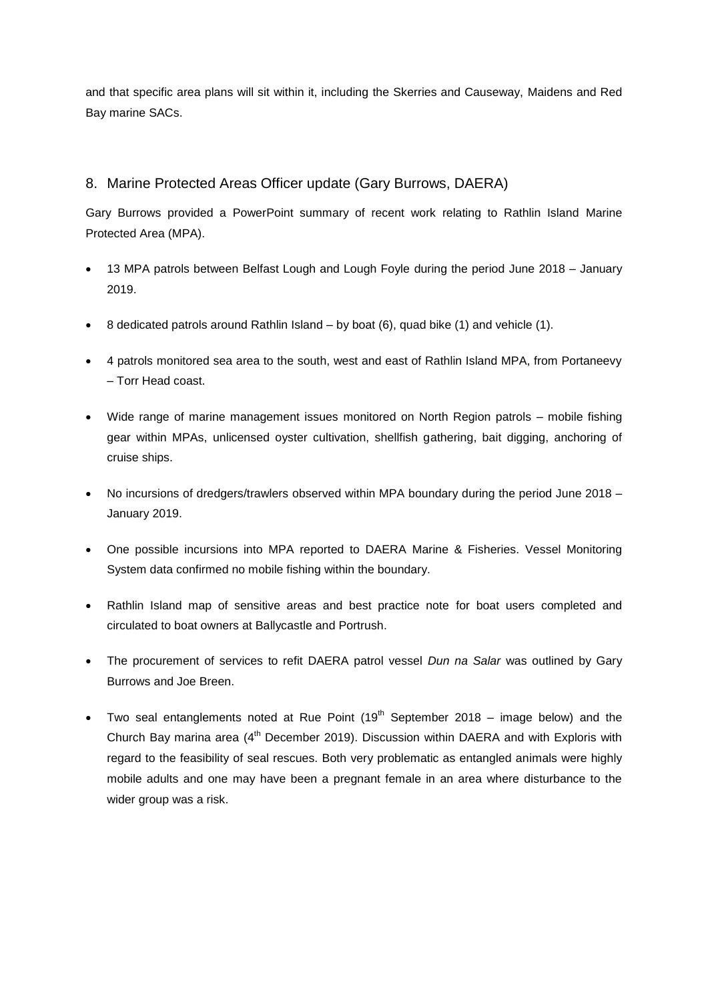and that specific area plans will sit within it, including the Skerries and Causeway, Maidens and Red Bay marine SACs.

## 8. Marine Protected Areas Officer update (Gary Burrows, DAERA)

Gary Burrows provided a PowerPoint summary of recent work relating to Rathlin Island Marine Protected Area (MPA).

- 13 MPA patrols between Belfast Lough and Lough Foyle during the period June 2018 January 2019.
- 8 dedicated patrols around Rathlin Island by boat (6), quad bike (1) and vehicle (1).
- 4 patrols monitored sea area to the south, west and east of Rathlin Island MPA, from Portaneevy – Torr Head coast.
- Wide range of marine management issues monitored on North Region patrols mobile fishing gear within MPAs, unlicensed oyster cultivation, shellfish gathering, bait digging, anchoring of cruise ships.
- No incursions of dredgers/trawlers observed within MPA boundary during the period June 2018 January 2019.
- One possible incursions into MPA reported to DAERA Marine & Fisheries. Vessel Monitoring System data confirmed no mobile fishing within the boundary.
- Rathlin Island map of sensitive areas and best practice note for boat users completed and circulated to boat owners at Ballycastle and Portrush.
- The procurement of services to refit DAERA patrol vessel *Dun na Salar* was outlined by Gary Burrows and Joe Breen.
- Two seal entanglements noted at Rue Point  $(19<sup>th</sup>$  September 2018 image below) and the Church Bay marina area (4<sup>th</sup> December 2019). Discussion within DAERA and with Exploris with regard to the feasibility of seal rescues. Both very problematic as entangled animals were highly mobile adults and one may have been a pregnant female in an area where disturbance to the wider group was a risk.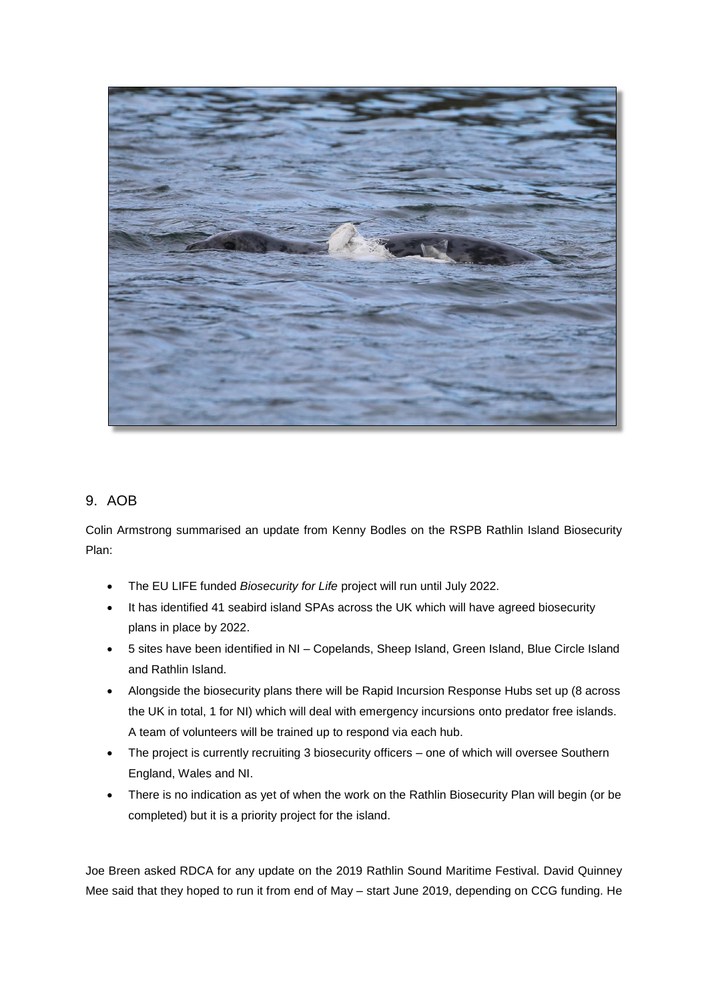

# 9. AOB

Colin Armstrong summarised an update from Kenny Bodles on the RSPB Rathlin Island Biosecurity Plan:

- The EU LIFE funded *Biosecurity for Life* project will run until July 2022.
- It has identified 41 seabird island SPAs across the UK which will have agreed biosecurity plans in place by 2022.
- 5 sites have been identified in NI Copelands, Sheep Island, Green Island, Blue Circle Island and Rathlin Island.
- Alongside the biosecurity plans there will be Rapid Incursion Response Hubs set up (8 across the UK in total, 1 for NI) which will deal with emergency incursions onto predator free islands. A team of volunteers will be trained up to respond via each hub.
- The project is currently recruiting 3 biosecurity officers one of which will oversee Southern England, Wales and NI.
- There is no indication as yet of when the work on the Rathlin Biosecurity Plan will begin (or be completed) but it is a priority project for the island.

Joe Breen asked RDCA for any update on the 2019 Rathlin Sound Maritime Festival. David Quinney Mee said that they hoped to run it from end of May – start June 2019, depending on CCG funding. He